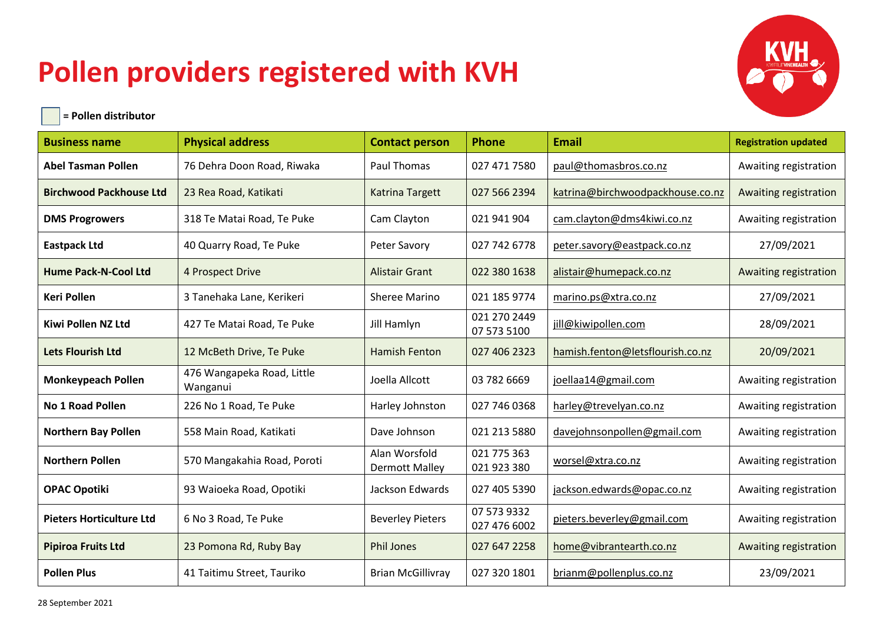## **Pollen providers registered with KVH**



| $\vert$ = Pollen distributor |  |
|------------------------------|--|
|                              |  |

֦

| <b>Business name</b>            | <b>Physical address</b>                | <b>Contact person</b>                  | <b>Phone</b>                | <b>Email</b>                     | <b>Registration updated</b> |
|---------------------------------|----------------------------------------|----------------------------------------|-----------------------------|----------------------------------|-----------------------------|
| <b>Abel Tasman Pollen</b>       | 76 Dehra Doon Road, Riwaka             | Paul Thomas                            | 027 471 7580                | paul@thomasbros.co.nz            | Awaiting registration       |
| <b>Birchwood Packhouse Ltd</b>  | 23 Rea Road, Katikati                  | <b>Katrina Targett</b>                 | 027 566 2394                | katrina@birchwoodpackhouse.co.nz | Awaiting registration       |
| <b>DMS Progrowers</b>           | 318 Te Matai Road, Te Puke             | Cam Clayton                            | 021 941 904                 | cam.clayton@dms4kiwi.co.nz       | Awaiting registration       |
| <b>Eastpack Ltd</b>             | 40 Quarry Road, Te Puke                | Peter Savory                           | 027 742 6778                | peter.savory@eastpack.co.nz      | 27/09/2021                  |
| <b>Hume Pack-N-Cool Ltd</b>     | 4 Prospect Drive                       | <b>Alistair Grant</b>                  | 022 380 1638                | alistair@humepack.co.nz          | Awaiting registration       |
| <b>Keri Pollen</b>              | 3 Tanehaka Lane, Kerikeri              | Sheree Marino                          | 021 185 9774                | marino.ps@xtra.co.nz             | 27/09/2021                  |
| <b>Kiwi Pollen NZ Ltd</b>       | 427 Te Matai Road, Te Puke             | Jill Hamlyn                            | 021 270 2449<br>07 573 5100 | jill@kiwipollen.com              | 28/09/2021                  |
| <b>Lets Flourish Ltd</b>        | 12 McBeth Drive, Te Puke               | <b>Hamish Fenton</b>                   | 027 406 2323                | hamish.fenton@letsflourish.co.nz | 20/09/2021                  |
| <b>Monkeypeach Pollen</b>       | 476 Wangapeka Road, Little<br>Wanganui | Joella Allcott                         | 03 782 6669                 | joellaa14@gmail.com              | Awaiting registration       |
| No 1 Road Pollen                | 226 No 1 Road, Te Puke                 | Harley Johnston                        | 027 746 0368                | harley@trevelyan.co.nz           | Awaiting registration       |
| <b>Northern Bay Pollen</b>      | 558 Main Road, Katikati                | Dave Johnson                           | 021 213 5880                | davejohnsonpollen@gmail.com      | Awaiting registration       |
| <b>Northern Pollen</b>          | 570 Mangakahia Road, Poroti            | Alan Worsfold<br><b>Dermott Malley</b> | 021 775 363<br>021 923 380  | worsel@xtra.co.nz                | Awaiting registration       |
| <b>OPAC Opotiki</b>             | 93 Waioeka Road, Opotiki               | Jackson Edwards                        | 027 405 5390                | jackson.edwards@opac.co.nz       | Awaiting registration       |
| <b>Pieters Horticulture Ltd</b> | 6 No 3 Road, Te Puke                   | <b>Beverley Pieters</b>                | 07 573 9332<br>027 476 6002 | pieters.beverley@gmail.com       | Awaiting registration       |
| <b>Pipiroa Fruits Ltd</b>       | 23 Pomona Rd, Ruby Bay                 | <b>Phil Jones</b>                      | 027 647 2258                | home@vibrantearth.co.nz          | Awaiting registration       |
| <b>Pollen Plus</b>              | 41 Taitimu Street, Tauriko             | <b>Brian McGillivray</b>               | 027 320 1801                | brianm@pollenplus.co.nz          | 23/09/2021                  |